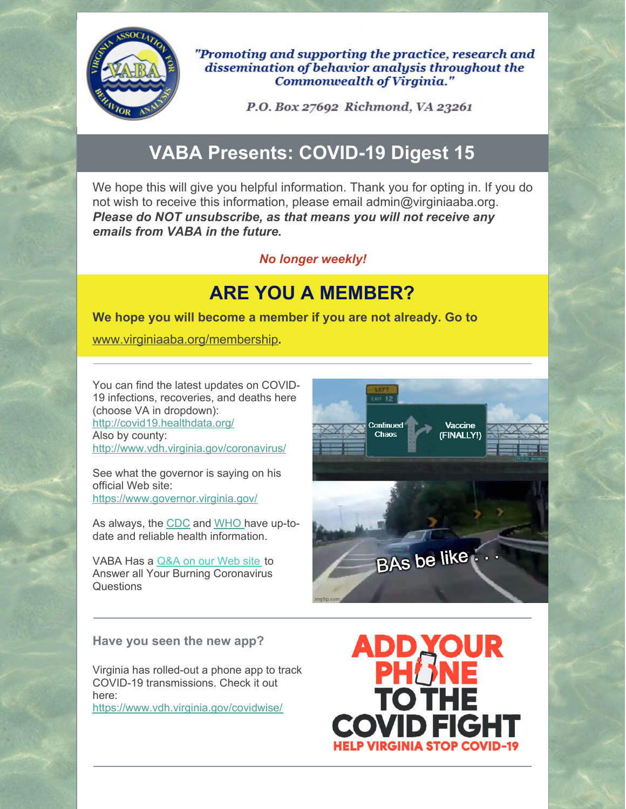

"Promoting and supporting the practice, research and dissemination of behavior analysis throughout the Commonwealth of Virginia."

P.O. Box 27692 Richmond, VA 23261

# **VABA Presents: COVID-19 Digest 15**

We hope this will give you helpful information. Thank you for opting in. If you do not wish to receive this information, please email admin@virginiaaba.org. *Please do NOT unsubscribe, as that means you will not receive any emails from VABA in the future.*

### *No longer weekly!*

## **ARE YOU A MEMBER?**

**We hope you will become a member if you are not already. Go to**

[www.virginiaaba.org/membership](http://www.virginiaaba.org/membership)**.**

You can find the latest updates on COVID-19 infections, recoveries, and deaths here (choose VA in dropdown): <http://covid19.healthdata.org/> Also by county: <http://www.vdh.virginia.gov/coronavirus/>

See what the governor is saying on his official Web site: <https://www.governor.virginia.gov/>

As always, the [CDC](https://www.cdc.gov/coronavirus/2019-nCoV/index.html) and [WHO](https://www.who.int/emergencies/diseases/novel-coronavirus-2019) have up-todate and reliable health information.

VABA Has a [Q&A](https://www.virginiaaba.org/information-on-covid-19/) on our Web site to Answer all Your Burning Coronavirus **Questions** 

#### **Have you seen the new app?**

Virginia has rolled-out a phone app to track COVID-19 transmissions. Check it out here:

<https://www.vdh.virginia.gov/covidwise/>



ADD**YOU OTHI VID FIG**